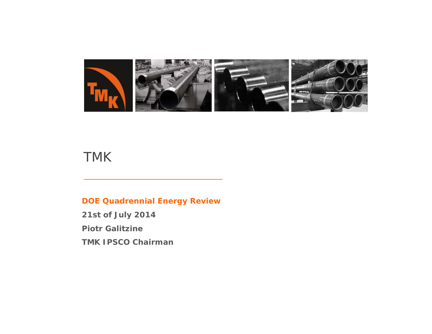

# TMK

#### **DOE Quadrennial Energy Review**

**21st of July 2014**

**Piotr Galitzine**

**TMK IPSCO Chairman**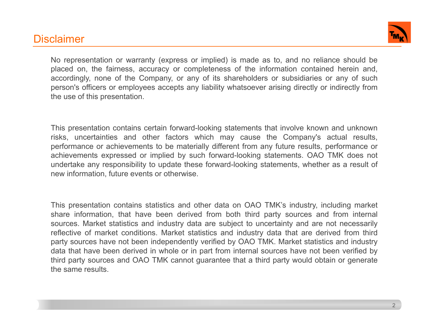### **Disclaimer**



No representation or warranty (express or implied) is made as to, and no reliance should be placed on, the fairness, accuracy or completeness of the information contained herein and, accordingly, none of the Company, or any of its shareholders or subsidiaries or any of such person's officers or employees accepts any liability whatsoever arising directly or indirectly from the use of this presentation.

This presentation contains certain forward-looking statements that involve known and unknown risks, uncertainties and other factors which may cause the Company's actual results, performance or achievements to be materially different from any future results, performance or achievements expressed or implied by such forward-looking statements. OAO TMK does not undertake any responsibility to update these forward-looking statements, whether as <sup>a</sup> result of new information, future events or otherwise.

This presentation contains statistics and other data on OAO TMK's industry, including market share information, that have been derived from both third party sources and from internal sources. Market statistics and industry data are subject to uncertainty and are not necessarily reflective of market conditions. Market statistics and industry data that are derived from third party sources have not been independently verified by OAO TMK. Market statistics and industry data that have been derived in whole or in part from internal sources have not been verified by third party sources and OAO TMK cannot guarantee that <sup>a</sup> third party would obtain or generate the same results.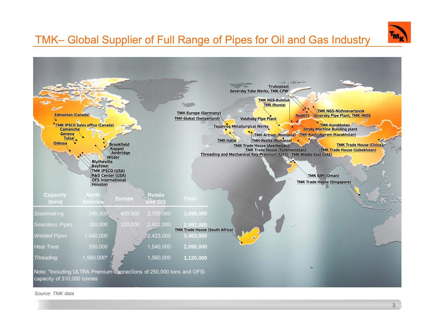

# TMK– Global Supplier of Full Range of Pipes for Oil and Gas Industry



#### *Source: TMK data*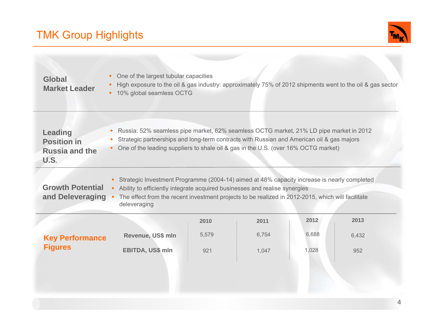# TMK Group Highlights

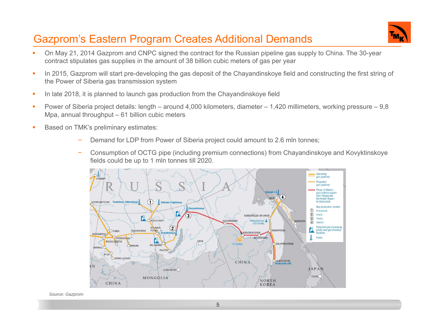## Gazprom's Eastern Program Creates Additional Demands



- On May 21, 2014 Gazprom and CNPC signed the contract for the Russian pipeline gas supply to China. The 30-year contract stipulates gas supplies in the amount of 38 billion cubic meters of gas per year
- × In 2015, Gazprom will start pre-developing the gas deposit of the Chayandinskoye field and constructing the first string of the Power of Siberia gas transmission system
- $\mathbf{r}$ In late 2018, it is planned to launch gas production from the Chayandinskoye field
- $\mathcal{L}_{\mathcal{A}}$  Power of Siberia project details: length – around 4,000 kilometers, diameter – 1,420 millimeters, working pressure – 9,8 Mpa, annual throughput – 61 billion cubic meters
- $\mathbf{r}$  Based on TMK's preliminary estimates:
	- Demand for LDP from Power of Siberia project could amount to 2.6 mln tonnes;
	- − Consumption of OCTG pipe (including premium connections) from Chayandinskoye and Kovyktinskoye fields could be up to 1 mln tonnes till 2020.



*Source: Gazprom*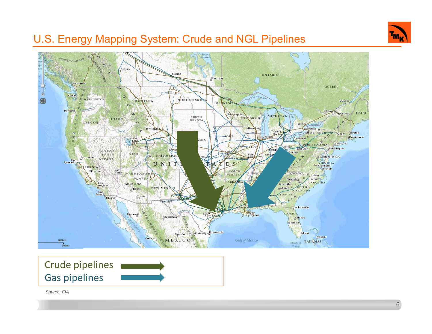

## U.S. Energy Mapping System: Crude and NGL Pipelines



*Source: EIA*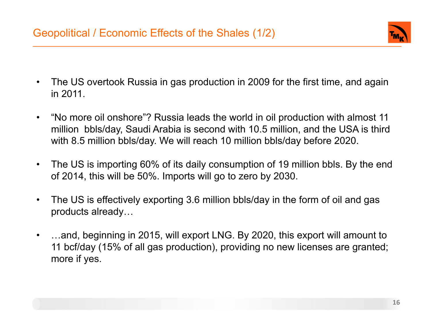

- $\bullet$  The US overtook Russia in gas production in 2009 for the first time, and again in 2011.
- $\bullet$  "No more oil onshore"? Russia leads the world in oil production with almost 11 million bbls/day, Saudi Arabia is second with 10.5 million, and the USA is third with 8.5 million bbls/day. We will reach 10 million bbls/day before 2020.
- $\bullet$  The US is importing 60% of its daily consumption of 19 million bbls. By the end of 2014, this will be 50%. Imports will go to zero by 2030.
- $\bullet$  The US is effectively exporting 3.6 million bbls/day in the form of oil and gas products already…
- $\bullet$  …and, beginning in 2015, will export LNG. By 2020, this export will amount to 11 bcf/day (15% of all gas production), providing no new licenses are granted; more if yes.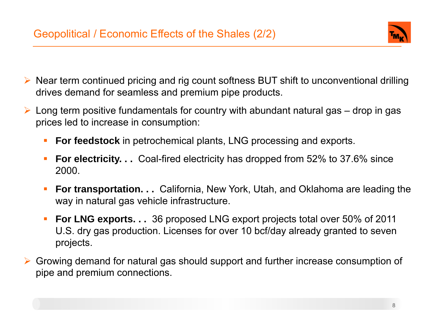

- Near term continued pricing and rig count softness BUT shift to unconventional drilling drives demand for seamless and premium pipe products.
- $\blacktriangleright$  Long term positive fundamentals for country with abundant natural gas – drop in gas prices led to increase in consumption:
	- $\mathcal{L}_{\mathcal{A}}$ **For feedstock** in petrochemical plants, LNG processing and exports.
	- $\overline{\phantom{a}}$  **For electricity. . .** Coal-fired electricity has dropped from 52% to 37.6% since 2000.
	- $\mathcal{L}_{\mathcal{A}}$  **For transportation. . .** California, New York, Utah, and Oklahoma are leading the way in natural gas vehicle infrastructure.
	- $\mathcal{L}_{\mathcal{A}}$  **For LNG exports. . .** 36 proposed LNG export projects total over 50% of 2011 U.S. dry gas production. Licenses for over 10 bcf/day already granted to seven projects.
- Growing demand for natural gas should support and further increase consumption of pipe and premium connections.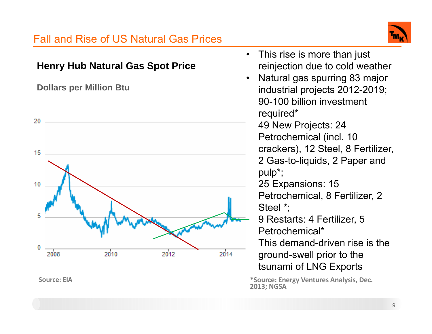#### Fall and Rise of US Natural Gas Prices• This rise is more than just **Henry Hub Natural Gas Spot Price** reinjection due to cold weather Natural gas spurring 83 major •**Dollars per Million Btu** industrial projects 2012-2019; 90-100 billion investment required\*  $20 -$  49 New Projects: 24 Petrochemical (incl. 10 crackers), 12 Steel, 8 Fertilizer, 15 2 Gas-to-liquids, 2 Paper and pulp\*; 25 Expansions: 15 10 Petrochemical, 8 Fertilizer, 2 Steel \*; 5 9 Restarts: 4 Fertilizer, 5 Petrochemical\* This demand-driven rise is the 0 2008 2010 2012 2014 ground-swell prior to the tsunami of LNG Exports **Source: EIA\*Source: Energy Ventures Analysis, Dec. 2013; NGSA**

9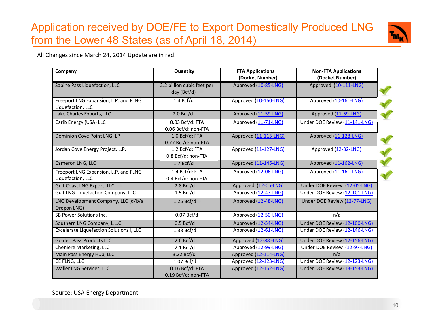# Application received by DOE/FE to Export Domestically Produced LNG from the Lower 48 States (as of April 18, 2014)



All Changes since March 24, 2014 Update are in red.

| Company                                                    | Quantity                                  | <b>FTA Applications</b> | <b>Non-FTA Applications</b>   |
|------------------------------------------------------------|-------------------------------------------|-------------------------|-------------------------------|
|                                                            |                                           | (Docket Number)         | (Docket Number)               |
| Sabine Pass Liquefaction, LLC                              | 2.2 billion cubic feet per<br>day (Bcf/d) | Approved (10-85-LNG)    | Approved (10-111-LNG)         |
| Freeport LNG Expansion, L.P. and FLNG<br>Liquefaction, LLC | 1.4 Bcf/d                                 | Approved (10-160-LNG)   | Approved (10-161-LNG)         |
| Lake Charles Exports, LLC                                  | 2.0 Bcf/d                                 | Approved (11-59-LNG)    | Approved (11-59-LNG)          |
| Carib Energy (USA) LLC                                     | 0.03 Bcf/d: FTA<br>0.06 Bcf/d: non-FTA    | Approved (11-71-LNG)    | Under DOE Review (11-141-LNG) |
| Dominion Cove Point LNG, LP                                | 1.0 Bcf/d: FTA<br>0.77 Bcf/d: non-FTA     | Approved (11-115-LNG)   | Approved (11-128-LNG)         |
| Jordan Cove Energy Project, L.P.                           | 1.2 Bcf/d: FTA<br>0.8 Bcf/d: non-FTA      | Approved (11-127-LNG)   | Approved (12-32-LNG)          |
| Cameron LNG, LLC                                           | 1.7 Bcf/d                                 | Approved (11-145-LNG)   | Approved (11-162-LNG)         |
| Freeport LNG Expansion, L.P. and FLNG<br>Liquefaction, LLC | 1.4 Bcf/d: FTA<br>0.4 Bcf/d: non-FTA      | Approved (12-06-LNG)    | Approved (11-161-LNG)         |
| <b>Gulf Coast LNG Export, LLC</b>                          | 2.8 Bcf/d                                 | Approved (12-05-LNG)    | Under DOE Review (12-05-LNG)  |
| <b>Gulf LNG Liquefaction Company, LLC</b>                  | 1.5 Bcf/d                                 | Approved (12-47-LNG)    | Under DOE Review (12-101-LNG) |
| LNG Development Company, LLC (d/b/a<br>Oregon LNG)         | 1.25 Bcf/d                                | Approved (12-48-LNG)    | Under DOE Review (12-77-LNG)  |
| SB Power Solutions Inc.                                    | 0.07 Bcf/d                                | Approved (12-50-LNG)    | n/a                           |
| Southern LNG Company, L.L.C.                               | 0.5 Bcf/d                                 | Approved (12-54-LNG)    | Under DOE Review (12-100-LNG) |
| Excelerate Liquefaction Solutions I, LLC                   | 1.38 Bcf/d                                | Approved (12-61-LNG)    | Under DOE Review (12-146-LNG) |
| <b>Golden Pass Products LLC</b>                            | 2.6 Bcf/d                                 | Approved (12-88 -LNG)   | Under DOE Review (12-156-LNG) |
| Cheniere Marketing, LLC                                    | 2.1 Bcf/d                                 | Approved (12-99-LNG)    | Under DOE Review (12-97-LNG)  |
| Main Pass Energy Hub, LLC                                  | 3.22 Bcf/d                                | Approved (12-114-LNG)   | n/a                           |
| CE FLNG, LLC                                               | 1.07 Bcf/d                                | Approved (12-123-LNG)   | Under DOE Review (12-123-LNG) |
| Waller LNG Services, LLC                                   | 0.16 Bcf/d: FTA<br>0.19 Bcf/d: non-FTA    | Approved (12-152-LNG)   | Under DOE Review (13-153-LNG) |

Source: USA Energy Department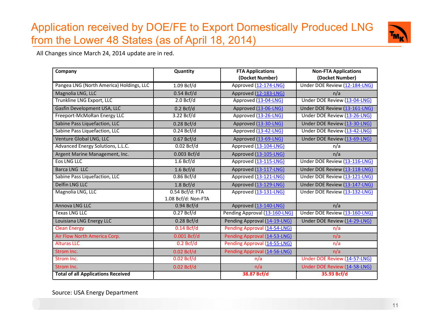# Application received by DOE/FE to Export Domestically Produced LNG from the Lower 48 States (as of April 18, 2014)



All Changes since March 24, 2014 update are in red.

| Company                                   | Quantity            | <b>FTA Applications</b>       | <b>Non-FTA Applications</b>   |
|-------------------------------------------|---------------------|-------------------------------|-------------------------------|
|                                           |                     | (Docket Number)               | (Docket Number)               |
| Pangea LNG (North America) Holdings, LLC  | 1.09 Bcf/d          | Approved (12-174-LNG)         | Under DOE Review (12-184-LNG) |
| Magnolia LNG, LLC                         | 0.54 Bcf/d          | Approved (12-183-LNG)         | n/a                           |
| Trunkline LNG Export, LLC                 | 2.0 Bcf/d           | Approved (13-04-LNG)          | Under DOE Review (13-04-LNG)  |
| Gasfin Development USA, LLC               | 0.2 Bcf/d           | Approved (13-06-LNG)          | Under DOE Review (13-161-LNG) |
| Freeport-McMoRan Energy LLC               | 3.22 Bcf/d          | Approved (13-26-LNG)          | Under DOE Review (13-26-LNG)  |
| Sabine Pass Liquefaction, LLC             | $0.28$ Bcf/d        | Approved (13-30-LNG)          | Under DOE Review (13-30-LNG)  |
| Sabine Pass Liquefaction, LLC             | 0.24 Bcf/d          | Approved (13-42-LNG)          | Under DOE Review (13-42-LNG)  |
| Venture Global LNG, LLC                   | 0.67 Bcf/d          | Approved (13-69-LNG)          | Under DOE Review (13-69-LNG)  |
| Advanced Energy Solutions, L.L.C.         | 0.02 Bcf/d          | Approved (13-104-LNG)         | n/a                           |
| Argent Marine Management, Inc.            | 0.003 Bcf/d         | Approved (13-105-LNG)         | n/a                           |
| <b>Eos LNG LLC</b>                        | 1.6 Bcf/d           | Approved (13-115-LNG)         | Under DOE Review (13-116-LNG) |
| Barca LNG LLC                             | 1.6 Bcf/d           | Approved (13-117-LNG)         | Under DOE Review (13-118-LNG) |
| Sabine Pass Liquefaction, LLC             | 0.86 Bcf/d          | Approved (13-121-LNG)         | Under DOE Review (13-121-LNG) |
| <b>Delfin LNG LLC</b>                     | 1.8 Bcf/d           | Approved (13-129-LNG)         | Under DOE Review (13-147-LNG) |
| Magnolia LNG, LLC                         | $0.54 Bcf/d$ : FTA  | Approved (13-131-LNG)         | Under DOE Review (13-132-LNG) |
|                                           | 1.08 Bcf/d: Non-FTA |                               |                               |
| Annova LNG LLC                            | $0.94$ Bcf/d        | Approved (13-140-LNG)         | n/a                           |
| <b>Texas LNG LLC</b>                      | 0.27 Bcf/d          | Pending Approval (13-160-LNG) | Under DOE Review (13-160-LNG) |
| Louisiana LNG Energy LLC                  | $0.28$ Bcf/d        | Pending Approval (14-19-LNG)  | Under DOE Review (14-29-LNG)  |
| <b>Clean Energy</b>                       | $0.14$ Bcf/d        | Pending Approval (14-54-LNG)  | n/a                           |
| Air Flow North America Corp.              | $0.001$ Bcf/d       | Pending Approval (14-53-LNG)  | n/a                           |
| <b>Alturas LLC</b>                        | 0.2 Bcf/d           | Pending Approval (14-55-LNG)  | n/a                           |
| Strom Inc.                                | 0.02 Bcf/d          | Pending Approval (14-56-LNG)  | n/a                           |
| Strom Inc.                                | $0.02$ Bcf/d        | n/a                           | Under DOE Review (14-57-LNG)  |
| Strom Inc.                                | 0.02 Bcf/d          | n/a                           | Under DOE Review (14-58-LNG)  |
| <b>Total of all Applications Received</b> |                     | 38.87 Bcf/d                   | 35.93 Bcf/d                   |

Source: USA Energy Department